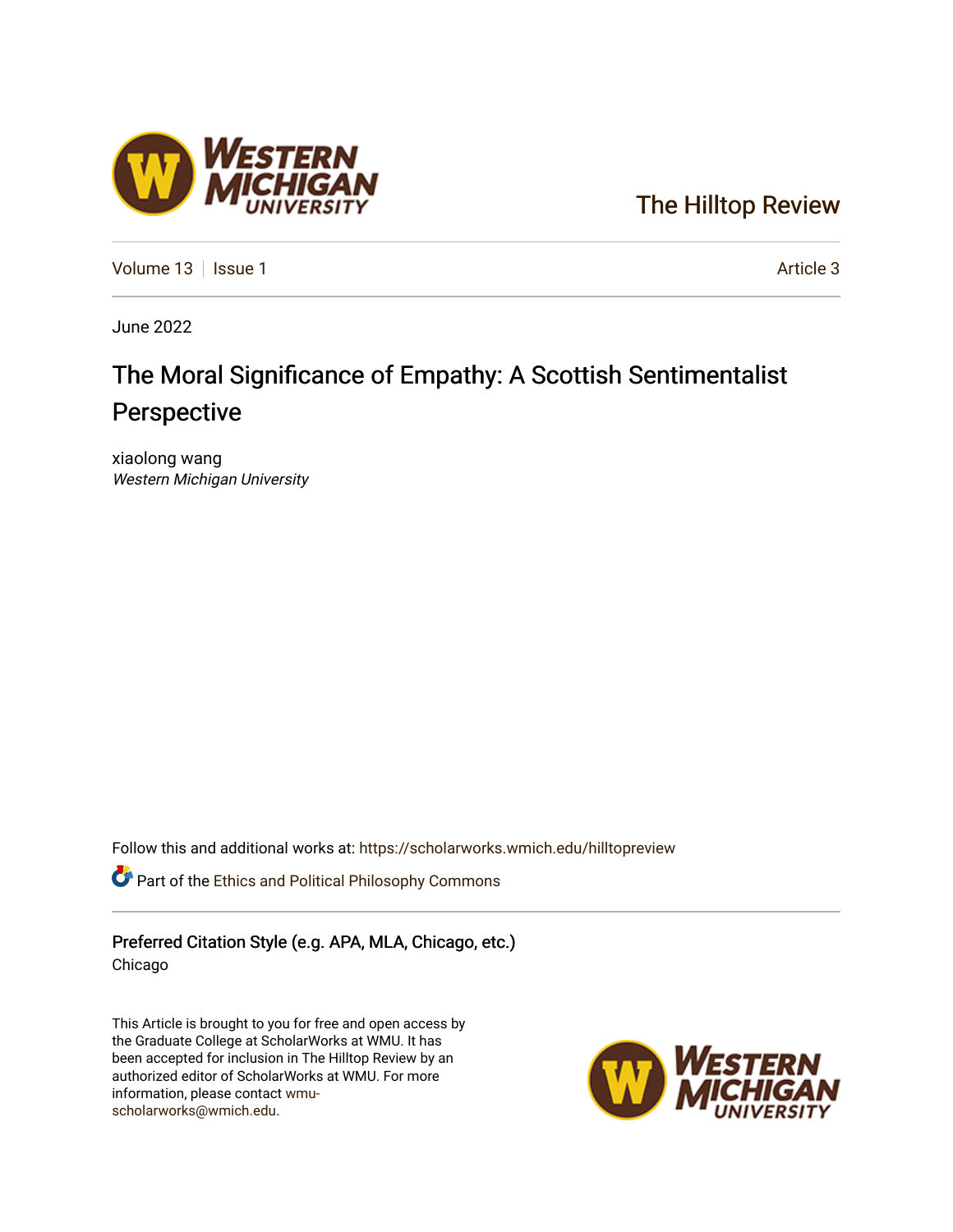### [The Hilltop Review](https://scholarworks.wmich.edu/hilltopreview)

[Volume 13](https://scholarworks.wmich.edu/hilltopreview/vol13) | [Issue 1](https://scholarworks.wmich.edu/hilltopreview/vol13/iss1) Article 3

June 2022

## The Moral Significance of Empathy: A Scottish Sentimentalist Perspective

xiaolong wang Western Michigan University

Follow this and additional works at: [https://scholarworks.wmich.edu/hilltopreview](https://scholarworks.wmich.edu/hilltopreview?utm_source=scholarworks.wmich.edu%2Fhilltopreview%2Fvol13%2Fiss1%2F3&utm_medium=PDF&utm_campaign=PDFCoverPages)

Part of the [Ethics and Political Philosophy Commons](https://network.bepress.com/hgg/discipline/529?utm_source=scholarworks.wmich.edu%2Fhilltopreview%2Fvol13%2Fiss1%2F3&utm_medium=PDF&utm_campaign=PDFCoverPages) 

Preferred Citation Style (e.g. APA, MLA, Chicago, etc.) Chicago

This Article is brought to you for free and open access by the Graduate College at ScholarWorks at WMU. It has been accepted for inclusion in The Hilltop Review by an authorized editor of ScholarWorks at WMU. For more information, please contact [wmu](mailto:wmu-scholarworks@wmich.edu)[scholarworks@wmich.edu.](mailto:wmu-scholarworks@wmich.edu)



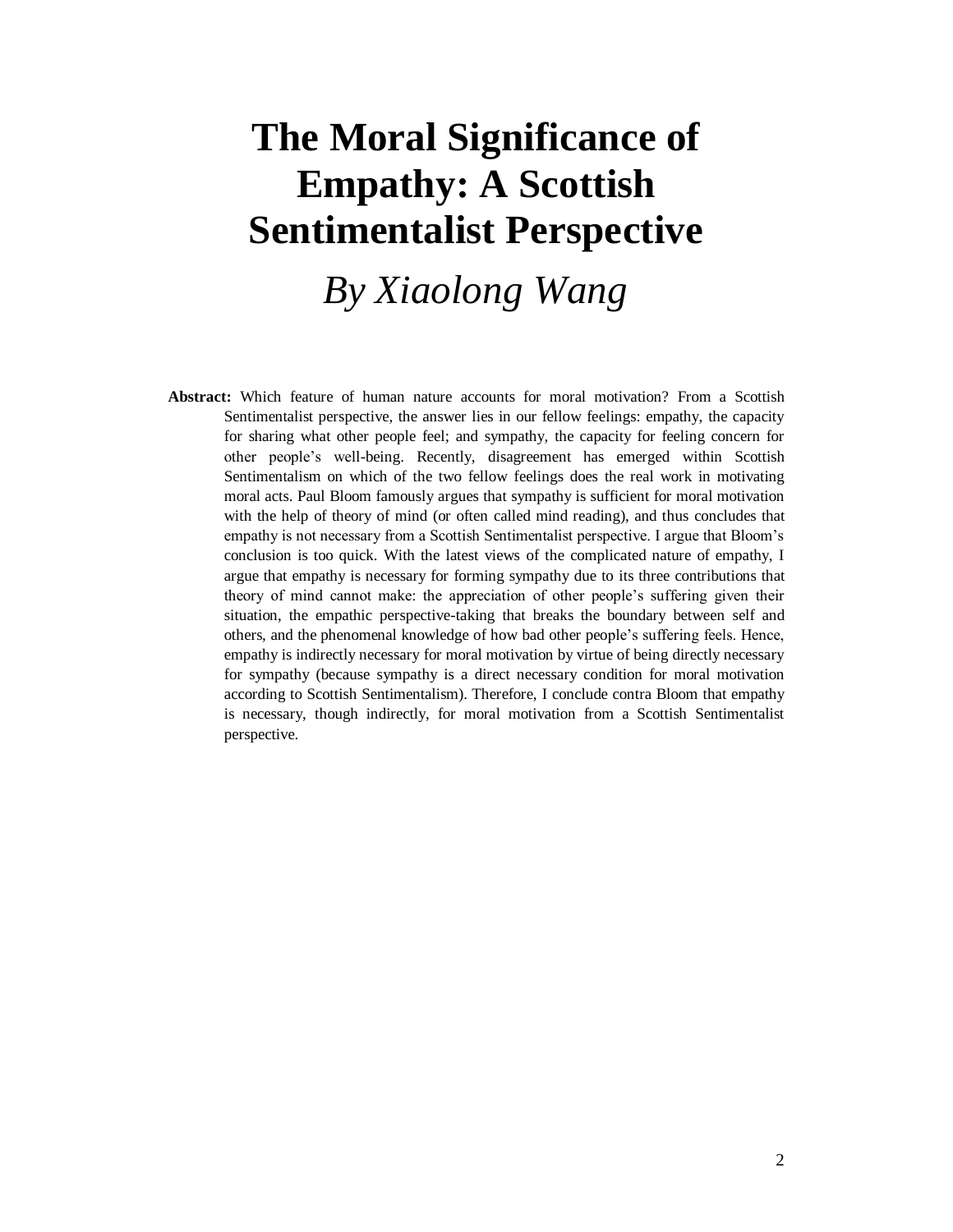# **The Moral Significance of Empathy: A Scottish Sentimentalist Perspective**

*By Xiaolong Wang*

**Abstract:** Which feature of human nature accounts for moral motivation? From a Scottish Sentimentalist perspective, the answer lies in our fellow feelings: empathy, the capacity for sharing what other people feel; and sympathy, the capacity for feeling concern for other people's well-being. Recently, disagreement has emerged within Scottish Sentimentalism on which of the two fellow feelings does the real work in motivating moral acts. Paul Bloom famously argues that sympathy is sufficient for moral motivation with the help of theory of mind (or often called mind reading), and thus concludes that empathy is not necessary from a Scottish Sentimentalist perspective. I argue that Bloom's conclusion is too quick. With the latest views of the complicated nature of empathy, I argue that empathy is necessary for forming sympathy due to its three contributions that theory of mind cannot make: the appreciation of other people's suffering given their situation, the empathic perspective-taking that breaks the boundary between self and others, and the phenomenal knowledge of how bad other people's suffering feels. Hence, empathy is indirectly necessary for moral motivation by virtue of being directly necessary for sympathy (because sympathy is a direct necessary condition for moral motivation according to Scottish Sentimentalism). Therefore, I conclude contra Bloom that empathy is necessary, though indirectly, for moral motivation from a Scottish Sentimentalist perspective.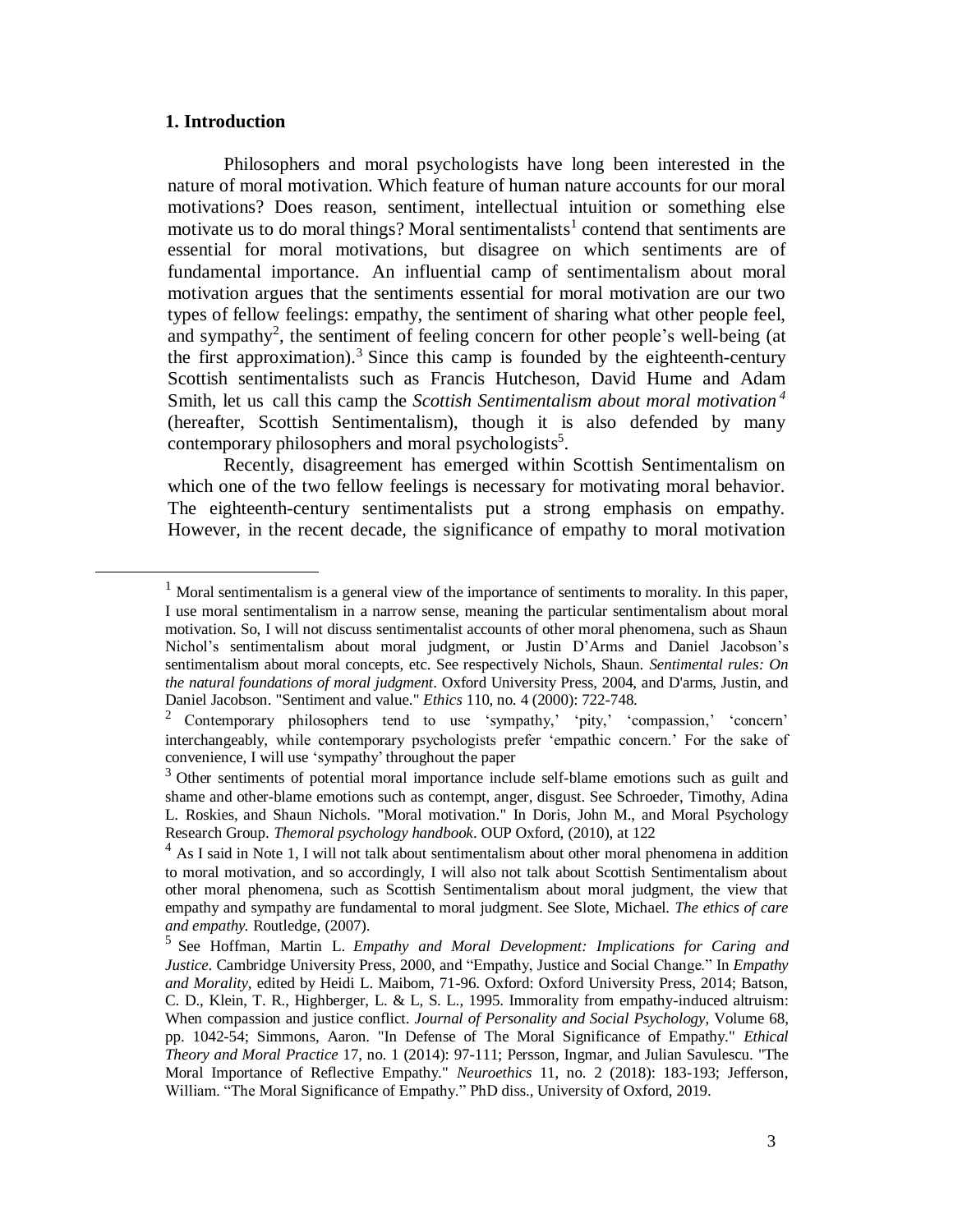#### **1. Introduction**

l

Philosophers and moral psychologists have long been interested in the nature of moral motivation. Which feature of human nature accounts for our moral motivations? Does reason, sentiment, intellectual intuition or something else motivate us to do moral things? Moral sentimentalists<sup>1</sup> contend that sentiments are essential for moral motivations, but disagree on which sentiments are of fundamental importance. An influential camp of sentimentalism about moral motivation argues that the sentiments essential for moral motivation are our two types of fellow feelings: empathy, the sentiment of sharing what other people feel, and sympathy<sup>2</sup>, the sentiment of feeling concern for other people's well-being (at the first approximation).<sup>3</sup> Since this camp is founded by the eighteenth-century Scottish sentimentalists such as Francis Hutcheson, David Hume and Adam Smith, let us call this camp the *Scottish Sentimentalism about moral motivation <sup>4</sup>* (hereafter, Scottish Sentimentalism), though it is also defended by many contemporary philosophers and moral psychologists<sup>5</sup>.

Recently, disagreement has emerged within Scottish Sentimentalism on which one of the two fellow feelings is necessary for motivating moral behavior. The eighteenth-century sentimentalists put a strong emphasis on empathy. However, in the recent decade, the significance of empathy to moral motivation

 $1$  Moral sentimentalism is a general view of the importance of sentiments to morality. In this paper, I use moral sentimentalism in a narrow sense, meaning the particular sentimentalism about moral motivation. So, I will not discuss sentimentalist accounts of other moral phenomena, such as Shaun Nichol's sentimentalism about moral judgment, or Justin D'Arms and Daniel Jacobson's sentimentalism about moral concepts, etc. See respectively Nichols, Shaun. *Sentimental rules: On the natural foundations of moral judgment*. Oxford University Press, 2004, and D'arms, Justin, and Daniel Jacobson. "Sentiment and value." *Ethics* 110, no. 4 (2000): 722-748.

<sup>2</sup> Contemporary philosophers tend to use 'sympathy,' 'pity,' 'compassion,' 'concern' interchangeably, while contemporary psychologists prefer 'empathic concern.' For the sake of convenience, I will use 'sympathy' throughout the paper

<sup>&</sup>lt;sup>3</sup> Other sentiments of potential moral importance include self-blame emotions such as guilt and shame and other-blame emotions such as contempt, anger, disgust. See Schroeder, Timothy, Adina L. Roskies, and Shaun Nichols. "Moral motivation." In Doris, John M., and Moral Psychology Research Group. *Themoral psychology handbook*. OUP Oxford, (2010), at 122

 $<sup>4</sup>$  As I said in Note 1, I will not talk about sentimentalism about other moral phenomena in addition</sup> to moral motivation, and so accordingly, I will also not talk about Scottish Sentimentalism about other moral phenomena, such as Scottish Sentimentalism about moral judgment, the view that empathy and sympathy are fundamental to moral judgment. See Slote, Michael. *The ethics of care and empathy.* Routledge, (2007).

<sup>5</sup> See Hoffman, Martin L. *Empathy and Moral Development: Implications for Caring and Justice*. Cambridge University Press, 2000, and "Empathy, Justice and Social Change." In *Empathy and Morality,* edited by Heidi L. Maibom, 71-96. Oxford: Oxford University Press, 2014; Batson, C. D., Klein, T. R., Highberger, L. & L, S. L., 1995. Immorality from empathy-induced altruism: When compassion and justice conflict. *Journal of Personality and Social Psychology*, Volume 68, pp. 1042-54; Simmons, Aaron. "In Defense of The Moral Significance of Empathy." *Ethical Theory and Moral Practice* 17, no. 1 (2014): 97-111; Persson, Ingmar, and Julian Savulescu. "The Moral Importance of Reflective Empathy." *Neuroethics* 11, no. 2 (2018): 183-193; Jefferson, William. "The Moral Significance of Empathy." PhD diss., University of Oxford, 2019.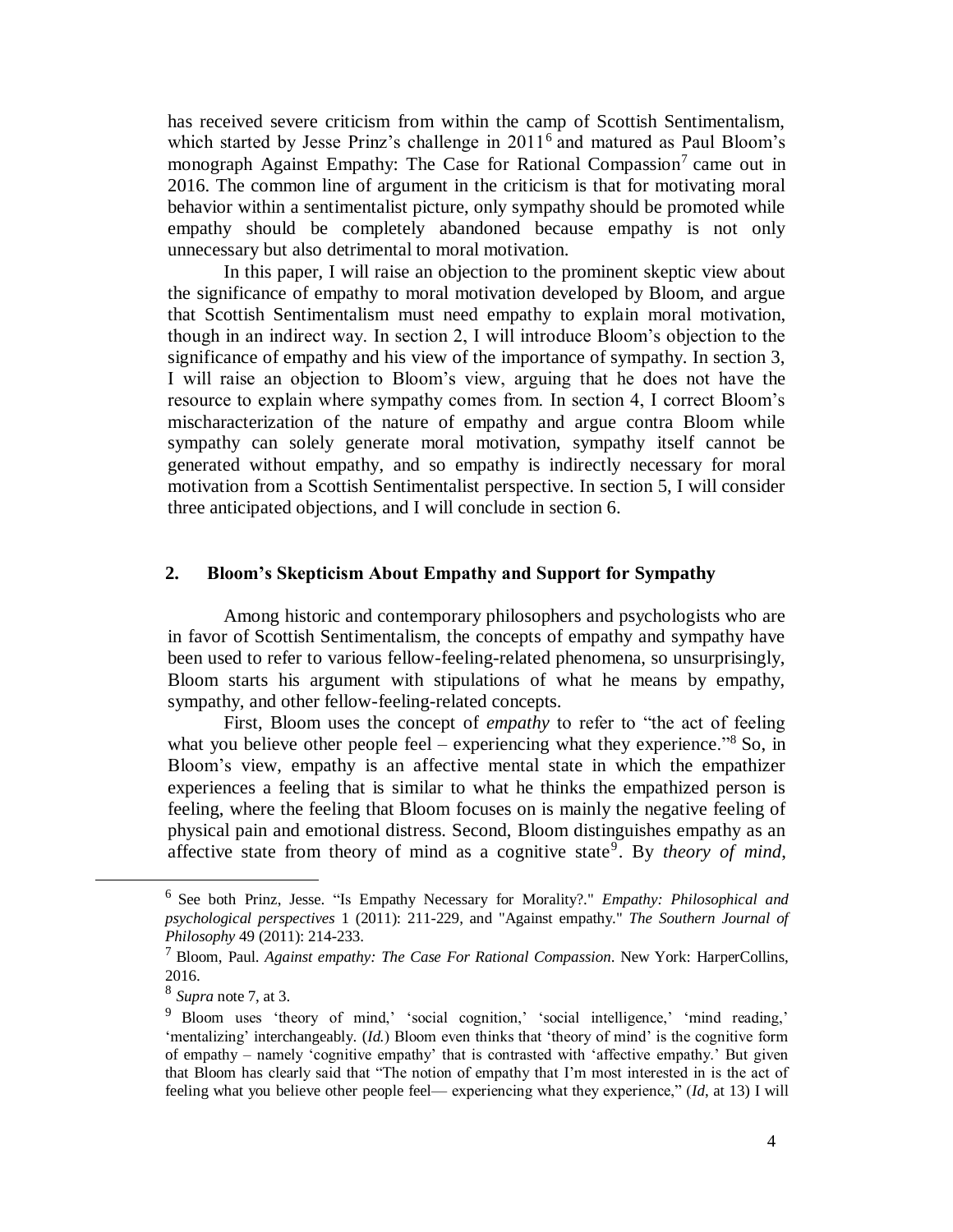has received severe criticism from within the camp of Scottish Sentimentalism, which started by Jesse Prinz's challenge in 2011<sup>6</sup> and matured as Paul Bloom's monograph Against Empathy: The Case for Rational Compassion<sup>7</sup> came out in 2016. The common line of argument in the criticism is that for motivating moral behavior within a sentimentalist picture, only sympathy should be promoted while empathy should be completely abandoned because empathy is not only unnecessary but also detrimental to moral motivation.

In this paper, I will raise an objection to the prominent skeptic view about the significance of empathy to moral motivation developed by Bloom, and argue that Scottish Sentimentalism must need empathy to explain moral motivation, though in an indirect way. In section 2, I will introduce Bloom's objection to the significance of empathy and his view of the importance of sympathy. In section 3, I will raise an objection to Bloom's view, arguing that he does not have the resource to explain where sympathy comes from. In section 4, I correct Bloom's mischaracterization of the nature of empathy and argue contra Bloom while sympathy can solely generate moral motivation, sympathy itself cannot be generated without empathy, and so empathy is indirectly necessary for moral motivation from a Scottish Sentimentalist perspective. In section 5, I will consider three anticipated objections, and I will conclude in section 6.

#### **2. Bloom's Skepticism About Empathy and Support for Sympathy**

Among historic and contemporary philosophers and psychologists who are in favor of Scottish Sentimentalism, the concepts of empathy and sympathy have been used to refer to various fellow-feeling-related phenomena, so unsurprisingly, Bloom starts his argument with stipulations of what he means by empathy, sympathy, and other fellow-feeling-related concepts.

First, Bloom uses the concept of *empathy* to refer to "the act of feeling what you believe other people feel – experiencing what they experience."<sup>8</sup> So, in Bloom's view, empathy is an affective mental state in which the empathizer experiences a feeling that is similar to what he thinks the empathized person is feeling, where the feeling that Bloom focuses on is mainly the negative feeling of physical pain and emotional distress. Second, Bloom distinguishes empathy as an affective state from theory of mind as a cognitive state<sup>9</sup>. By *theory of mind*,

<sup>6</sup> See both Prinz, Jesse. "Is Empathy Necessary for Morality?." *Empathy: Philosophical and psychological perspectives* 1 (2011): 211-229, and "Against empathy." *The Southern Journal of Philosophy* 49 (2011): 214-233.

<sup>7</sup> Bloom, Paul. *Against empathy: The Case For Rational Compassion*. New York: HarperCollins, 2016.

<sup>8</sup> *Supra* note 7, at 3.

<sup>&</sup>lt;sup>9</sup> Bloom uses 'theory of mind,' 'social cognition,' 'social intelligence,' 'mind reading,' 'mentalizing' interchangeably. (*Id.*) Bloom even thinks that 'theory of mind' is the cognitive form of empathy – namely 'cognitive empathy' that is contrasted with 'affective empathy.' But given that Bloom has clearly said that "The notion of empathy that I'm most interested in is the act of feeling what you believe other people feel— experiencing what they experience," (*Id*, at 13) I will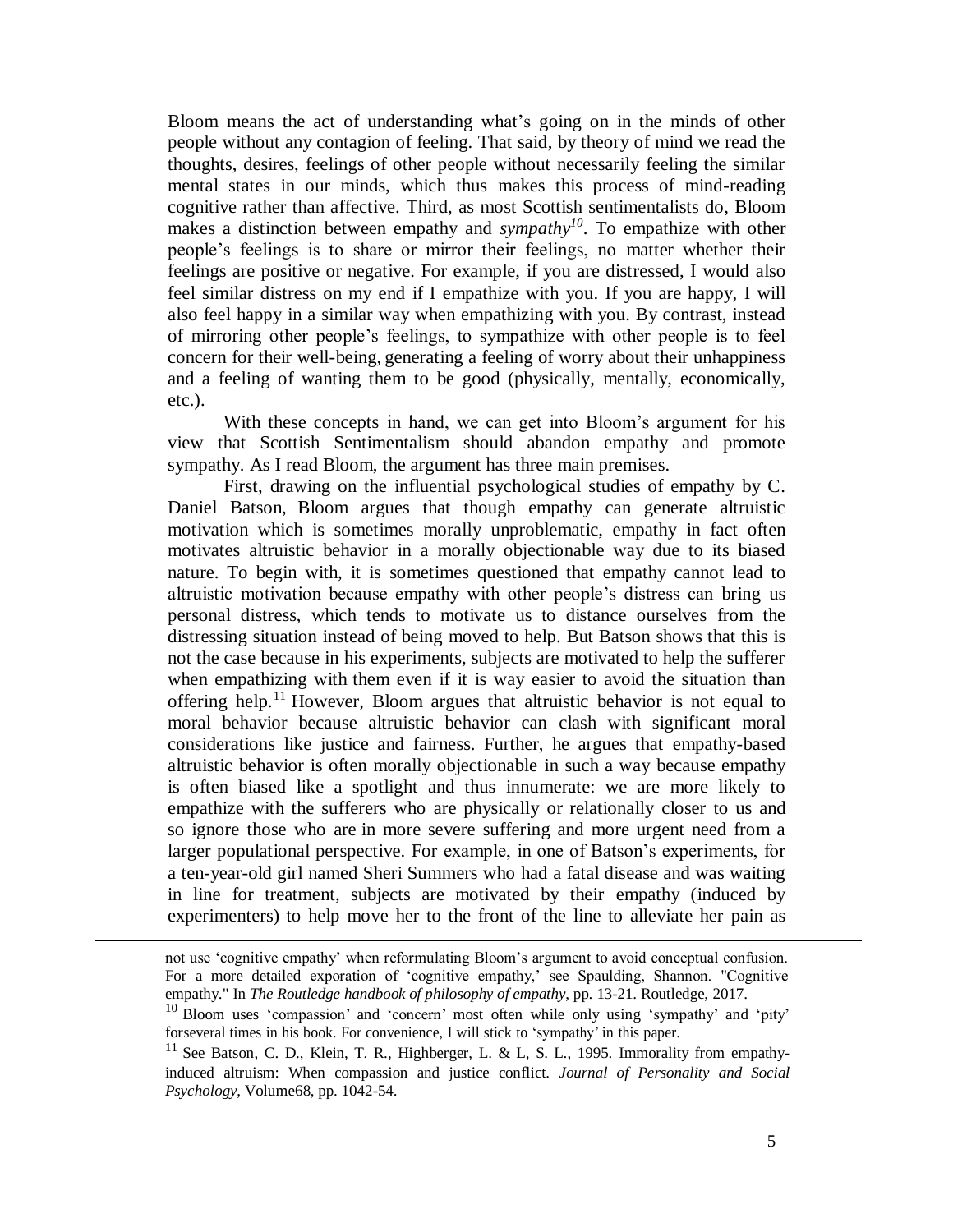Bloom means the act of understanding what's going on in the minds of other people without any contagion of feeling. That said, by theory of mind we read the thoughts, desires, feelings of other people without necessarily feeling the similar mental states in our minds, which thus makes this process of mind-reading cognitive rather than affective. Third, as most Scottish sentimentalists do, Bloom makes a distinction between empathy and *sympathy<sup>10</sup>*. To empathize with other people's feelings is to share or mirror their feelings, no matter whether their feelings are positive or negative. For example, if you are distressed, I would also feel similar distress on my end if I empathize with you. If you are happy, I will also feel happy in a similar way when empathizing with you. By contrast, instead of mirroring other people's feelings, to sympathize with other people is to feel concern for their well-being, generating a feeling of worry about their unhappiness and a feeling of wanting them to be good (physically, mentally, economically, etc.).

With these concepts in hand, we can get into Bloom's argument for his view that Scottish Sentimentalism should abandon empathy and promote sympathy. As I read Bloom, the argument has three main premises.

First, drawing on the influential psychological studies of empathy by C. Daniel Batson, Bloom argues that though empathy can generate altruistic motivation which is sometimes morally unproblematic, empathy in fact often motivates altruistic behavior in a morally objectionable way due to its biased nature. To begin with, it is sometimes questioned that empathy cannot lead to altruistic motivation because empathy with other people's distress can bring us personal distress, which tends to motivate us to distance ourselves from the distressing situation instead of being moved to help. But Batson shows that this is not the case because in his experiments, subjects are motivated to help the sufferer when empathizing with them even if it is way easier to avoid the situation than offering help.<sup>11</sup> However, Bloom argues that altruistic behavior is not equal to moral behavior because altruistic behavior can clash with significant moral considerations like justice and fairness. Further, he argues that empathy-based altruistic behavior is often morally objectionable in such a way because empathy is often biased like a spotlight and thus innumerate: we are more likely to empathize with the sufferers who are physically or relationally closer to us and so ignore those who are in more severe suffering and more urgent need from a larger populational perspective. For example, in one of Batson's experiments, for a ten-year-old girl named Sheri Summers who had a fatal disease and was waiting in line for treatment, subjects are motivated by their empathy (induced by experimenters) to help move her to the front of the line to alleviate her pain as

not use 'cognitive empathy' when reformulating Bloom's argument to avoid conceptual confusion. For a more detailed exporation of 'cognitive empathy,' see Spaulding, Shannon. "Cognitive empathy." In *The Routledge handbook of philosophy of empathy*, pp. 13-21. Routledge, 2017.

<sup>10</sup> Bloom uses 'compassion' and 'concern' most often while only using 'sympathy' and 'pity' forseveral times in his book. For convenience, I will stick to 'sympathy' in this paper.

<sup>&</sup>lt;sup>11</sup> See Batson, C. D., Klein, T. R., Highberger, L. & L, S. L., 1995. Immorality from empathyinduced altruism: When compassion and justice conflict. *Journal of Personality and Social Psychology*, Volume68, pp. 1042-54.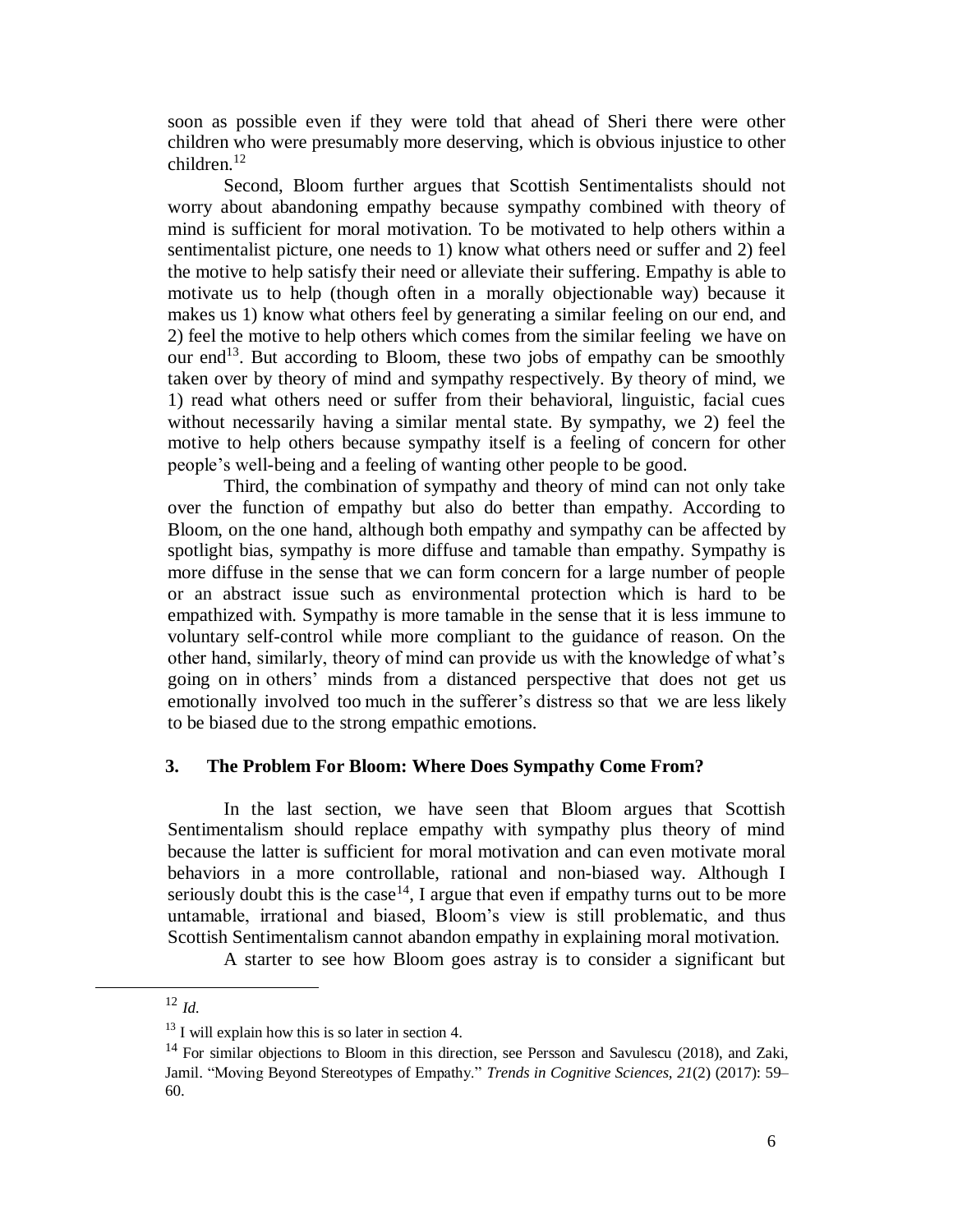soon as possible even if they were told that ahead of Sheri there were other children who were presumably more deserving, which is obvious injustice to other children.<sup>12</sup>

Second, Bloom further argues that Scottish Sentimentalists should not worry about abandoning empathy because sympathy combined with theory of mind is sufficient for moral motivation. To be motivated to help others within a sentimentalist picture, one needs to 1) know what others need or suffer and 2) feel the motive to help satisfy their need or alleviate their suffering. Empathy is able to motivate us to help (though often in a morally objectionable way) because it makes us 1) know what others feel by generating a similar feeling on our end, and 2) feel the motive to help others which comes from the similar feeling we have on our end<sup>13</sup>. But according to Bloom, these two jobs of empathy can be smoothly taken over by theory of mind and sympathy respectively. By theory of mind, we 1) read what others need or suffer from their behavioral, linguistic, facial cues without necessarily having a similar mental state. By sympathy, we 2) feel the motive to help others because sympathy itself is a feeling of concern for other people's well-being and a feeling of wanting other people to be good.

Third, the combination of sympathy and theory of mind can not only take over the function of empathy but also do better than empathy. According to Bloom, on the one hand, although both empathy and sympathy can be affected by spotlight bias, sympathy is more diffuse and tamable than empathy. Sympathy is more diffuse in the sense that we can form concern for a large number of people or an abstract issue such as environmental protection which is hard to be empathized with. Sympathy is more tamable in the sense that it is less immune to voluntary self-control while more compliant to the guidance of reason. On the other hand, similarly, theory of mind can provide us with the knowledge of what's going on in others' minds from a distanced perspective that does not get us emotionally involved too much in the sufferer's distress so that we are less likely to be biased due to the strong empathic emotions.

#### **3. The Problem For Bloom: Where Does Sympathy Come From?**

In the last section, we have seen that Bloom argues that Scottish Sentimentalism should replace empathy with sympathy plus theory of mind because the latter is sufficient for moral motivation and can even motivate moral behaviors in a more controllable, rational and non-biased way. Although I seriously doubt this is the case<sup>14</sup>, I argue that even if empathy turns out to be more untamable, irrational and biased, Bloom's view is still problematic, and thus Scottish Sentimentalism cannot abandon empathy in explaining moral motivation.

A starter to see how Bloom goes astray is to consider a significant but

<sup>12</sup> *Id.*

 $13$  I will explain how this is so later in section 4.

 $14$  For similar objections to Bloom in this direction, see Persson and Savulescu (2018), and Zaki, Jamil. "Moving Beyond Stereotypes of Empathy." *Trends in Cognitive Sciences, 21*(2) (2017): 59– 60.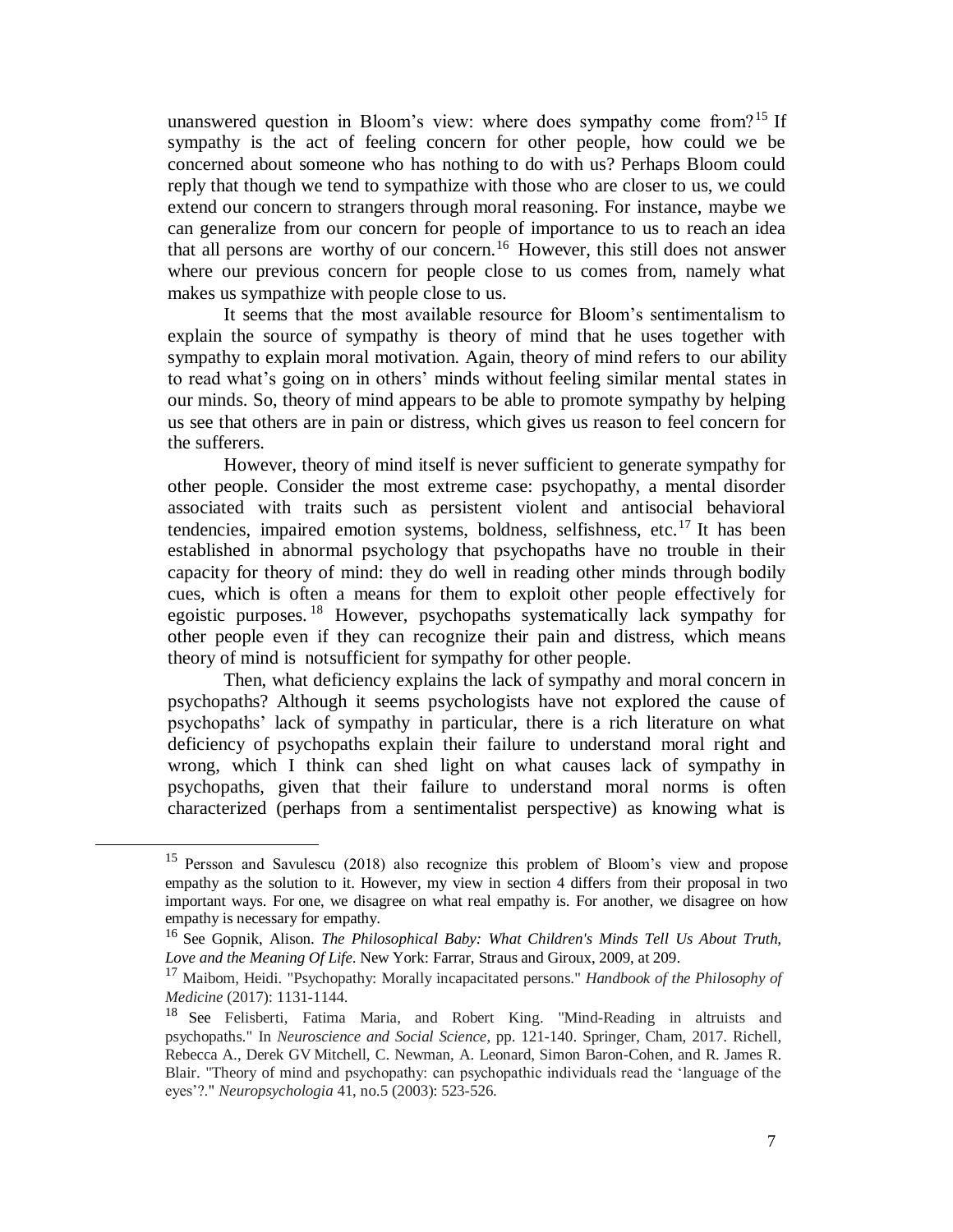unanswered question in Bloom's view: where does sympathy come from?<sup>15</sup> If sympathy is the act of feeling concern for other people, how could we be concerned about someone who has nothing to do with us? Perhaps Bloom could reply that though we tend to sympathize with those who are closer to us, we could extend our concern to strangers through moral reasoning. For instance, maybe we can generalize from our concern for people of importance to us to reach an idea that all persons are worthy of our concern.<sup>16</sup> However, this still does not answer where our previous concern for people close to us comes from, namely what makes us sympathize with people close to us.

It seems that the most available resource for Bloom's sentimentalism to explain the source of sympathy is theory of mind that he uses together with sympathy to explain moral motivation. Again, theory of mind refers to our ability to read what's going on in others' minds without feeling similar mental states in our minds. So, theory of mind appears to be able to promote sympathy by helping us see that others are in pain or distress, which gives us reason to feel concern for the sufferers.

However, theory of mind itself is never sufficient to generate sympathy for other people. Consider the most extreme case: psychopathy, a mental disorder associated with traits such as persistent violent and antisocial behavioral tendencies, impaired emotion systems, boldness, selfishness, etc.<sup>17</sup> It has been established in abnormal psychology that psychopaths have no trouble in their capacity for theory of mind: they do well in reading other minds through bodily cues, which is often a means for them to exploit other people effectively for egoistic purposes.<sup>18</sup> However, psychopaths systematically lack sympathy for other people even if they can recognize their pain and distress, which means theory of mind is notsufficient for sympathy for other people.

Then, what deficiency explains the lack of sympathy and moral concern in psychopaths? Although it seems psychologists have not explored the cause of psychopaths' lack of sympathy in particular, there is a rich literature on what deficiency of psychopaths explain their failure to understand moral right and wrong, which I think can shed light on what causes lack of sympathy in psychopaths, given that their failure to understand moral norms is often characterized (perhaps from a sentimentalist perspective) as knowing what is

<sup>&</sup>lt;sup>15</sup> Persson and Savulescu (2018) also recognize this problem of Bloom's view and propose empathy as the solution to it. However, my view in section 4 differs from their proposal in two important ways. For one, we disagree on what real empathy is. For another, we disagree on how empathy is necessary for empathy.

<sup>16</sup> See Gopnik, Alison. *The Philosophical Baby: What Children's Minds Tell Us About Truth, Love and the Meaning Of Life*. New York: Farrar, Straus and Giroux, 2009, at 209.

<sup>17</sup> Maibom, Heidi. "Psychopathy: Morally incapacitated persons." *Handbook of the Philosophy of Medicine* (2017): 1131-1144.

<sup>&</sup>lt;sup>18</sup> See Felisberti, Fatima Maria, and Robert King. "Mind-Reading in altruists and psychopaths." In *Neuroscience and Social Science*, pp. 121-140. Springer, Cham, 2017. Richell, Rebecca A., Derek GV Mitchell, C. Newman, A. Leonard, Simon Baron-Cohen, and R. James R. Blair. "Theory of mind and psychopathy: can psychopathic individuals read the 'language of the eyes'?." *Neuropsychologia* 41, no.5 (2003): 523-526.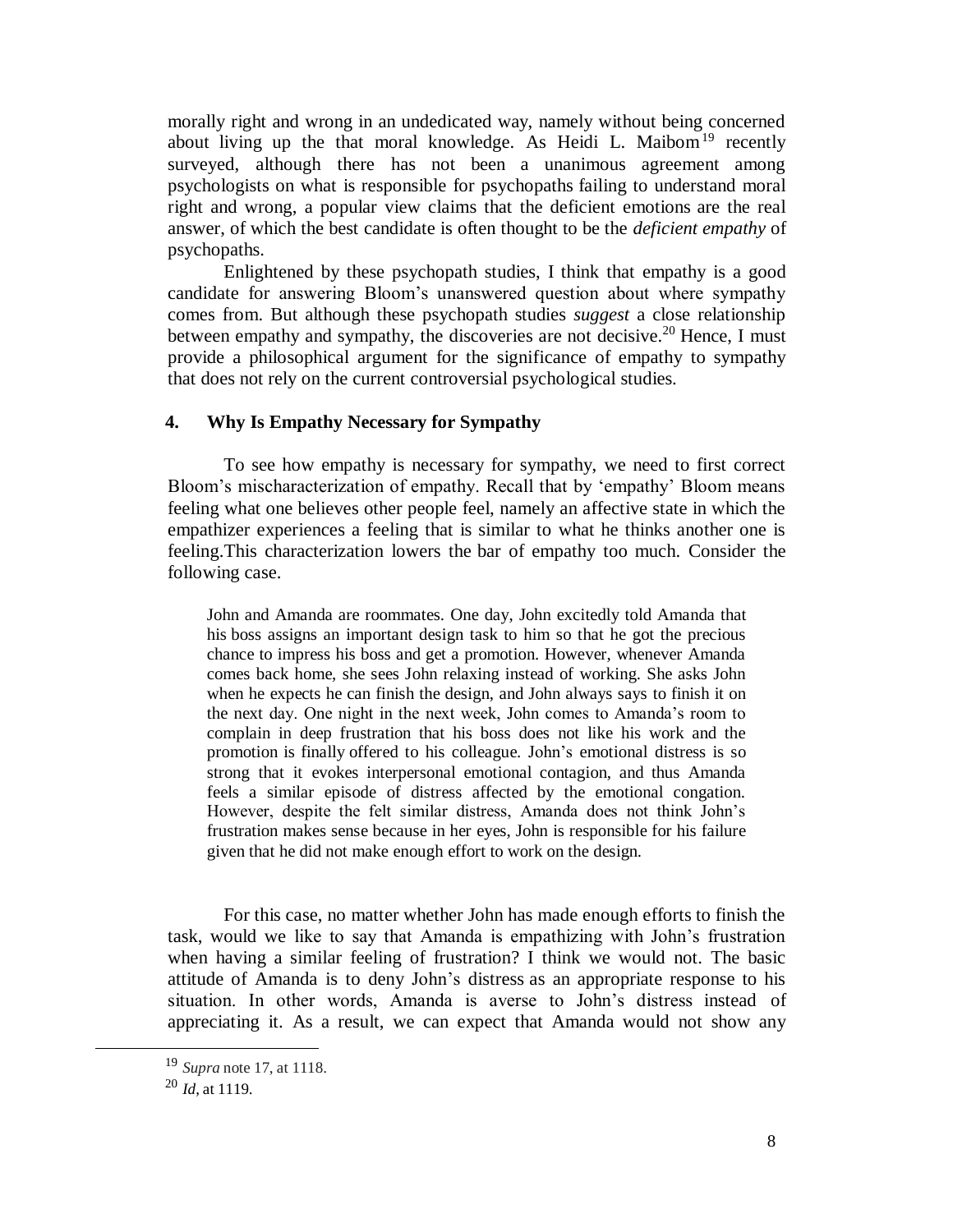morally right and wrong in an undedicated way, namely without being concerned about living up the that moral knowledge. As Heidi L. Maibom<sup>19</sup> recently surveyed, although there has not been a unanimous agreement among psychologists on what is responsible for psychopaths failing to understand moral right and wrong, a popular view claims that the deficient emotions are the real answer, of which the best candidate is often thought to be the *deficient empathy* of psychopaths.

Enlightened by these psychopath studies, I think that empathy is a good candidate for answering Bloom's unanswered question about where sympathy comes from. But although these psychopath studies *suggest* a close relationship between empathy and sympathy, the discoveries are not decisive.<sup>20</sup> Hence, I must provide a philosophical argument for the significance of empathy to sympathy that does not rely on the current controversial psychological studies.

#### **4. Why Is Empathy Necessary for Sympathy**

To see how empathy is necessary for sympathy, we need to first correct Bloom's mischaracterization of empathy. Recall that by 'empathy' Bloom means feeling what one believes other people feel, namely an affective state in which the empathizer experiences a feeling that is similar to what he thinks another one is feeling.This characterization lowers the bar of empathy too much. Consider the following case.

John and Amanda are roommates. One day, John excitedly told Amanda that his boss assigns an important design task to him so that he got the precious chance to impress his boss and get a promotion. However, whenever Amanda comes back home, she sees John relaxing instead of working. She asks John when he expects he can finish the design, and John always says to finish it on the next day. One night in the next week, John comes to Amanda's room to complain in deep frustration that his boss does not like his work and the promotion is finally offered to his colleague. John's emotional distress is so strong that it evokes interpersonal emotional contagion, and thus Amanda feels a similar episode of distress affected by the emotional congation. However, despite the felt similar distress, Amanda does not think John's frustration makes sense because in her eyes, John is responsible for his failure given that he did not make enough effort to work on the design.

For this case, no matter whether John has made enough efforts to finish the task, would we like to say that Amanda is empathizing with John's frustration when having a similar feeling of frustration? I think we would not. The basic attitude of Amanda is to deny John's distress as an appropriate response to his situation. In other words, Amanda is averse to John's distress instead of appreciating it. As a result, we can expect that Amanda would not show any

l

<sup>19</sup> *Supra* note 17, at 1118.

<sup>20</sup> *Id*, at 1119.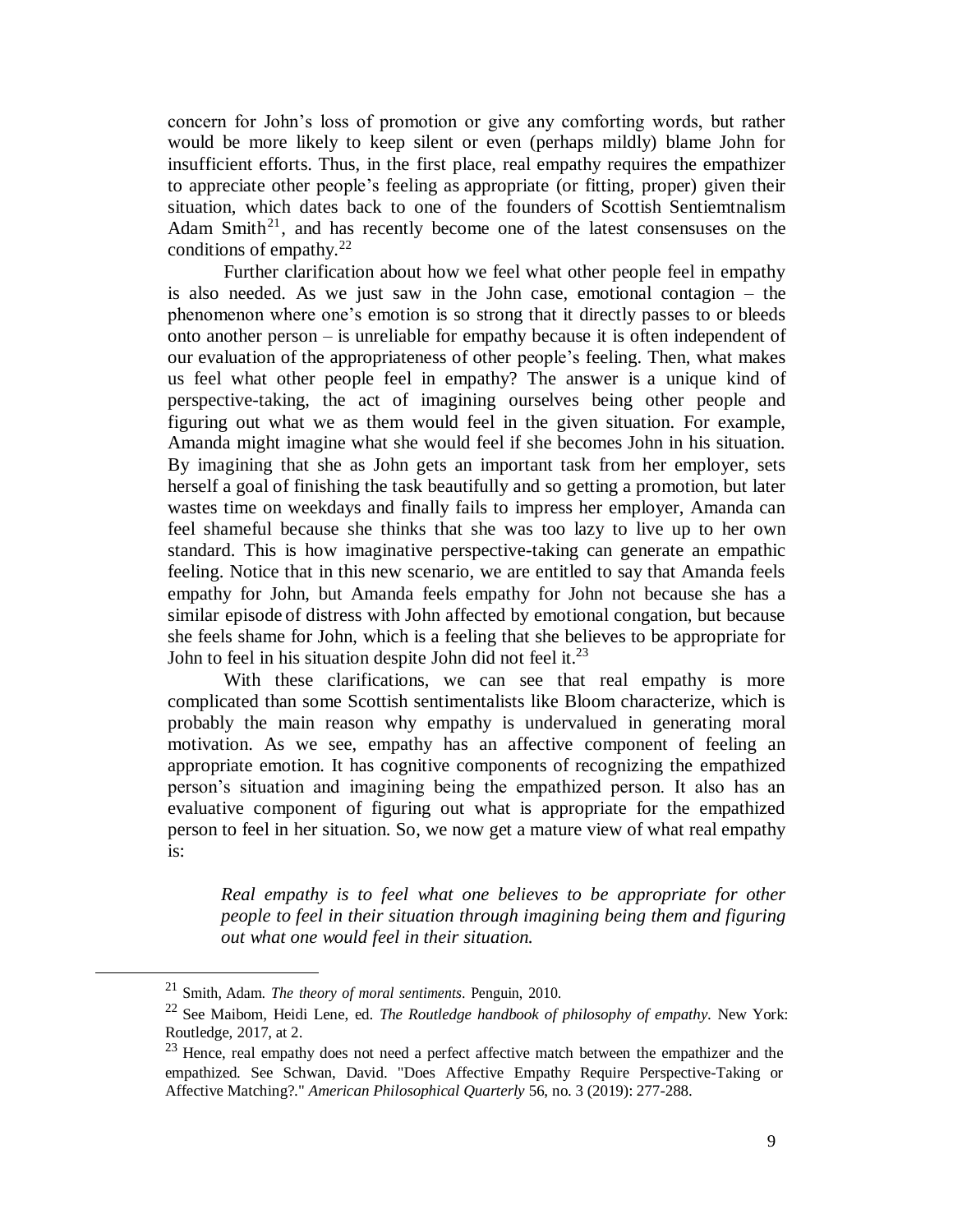concern for John's loss of promotion or give any comforting words, but rather would be more likely to keep silent or even (perhaps mildly) blame John for insufficient efforts. Thus, in the first place, real empathy requires the empathizer to appreciate other people's feeling as appropriate (or fitting, proper) given their situation, which dates back to one of the founders of Scottish Sentiemtnalism Adam Smith<sup>21</sup>, and has recently become one of the latest consensuses on the conditions of empathy. $^{22}$ 

Further clarification about how we feel what other people feel in empathy is also needed. As we just saw in the John case, emotional contagion – the phenomenon where one's emotion is so strong that it directly passes to or bleeds onto another person – is unreliable for empathy because it is often independent of our evaluation of the appropriateness of other people's feeling. Then, what makes us feel what other people feel in empathy? The answer is a unique kind of perspective-taking, the act of imagining ourselves being other people and figuring out what we as them would feel in the given situation. For example, Amanda might imagine what she would feel if she becomes John in his situation. By imagining that she as John gets an important task from her employer, sets herself a goal of finishing the task beautifully and so getting a promotion, but later wastes time on weekdays and finally fails to impress her employer, Amanda can feel shameful because she thinks that she was too lazy to live up to her own standard. This is how imaginative perspective-taking can generate an empathic feeling. Notice that in this new scenario, we are entitled to say that Amanda feels empathy for John, but Amanda feels empathy for John not because she has a similar episode of distress with John affected by emotional congation, but because she feels shame for John, which is a feeling that she believes to be appropriate for John to feel in his situation despite John did not feel it.<sup>23</sup>

With these clarifications, we can see that real empathy is more complicated than some Scottish sentimentalists like Bloom characterize, which is probably the main reason why empathy is undervalued in generating moral motivation. As we see, empathy has an affective component of feeling an appropriate emotion. It has cognitive components of recognizing the empathized person's situation and imagining being the empathized person. It also has an evaluative component of figuring out what is appropriate for the empathized person to feel in her situation. So, we now get a mature view of what real empathy is:

*Real empathy is to feel what one believes to be appropriate for other people to feel in their situation through imagining being them and figuring out what one would feel in their situation.*

<sup>21</sup> Smith, Adam. *The theory of moral sentiments*. Penguin, 2010.

<sup>22</sup> See Maibom, Heidi Lene, ed. *The Routledge handbook of philosophy of empathy*. New York: Routledge, 2017, at 2.

<sup>&</sup>lt;sup>23</sup> Hence, real empathy does not need a perfect affective match between the empathizer and the empathized. See Schwan, David. "Does Affective Empathy Require Perspective-Taking or Affective Matching?." *American Philosophical Quarterly* 56, no. 3 (2019): 277-288.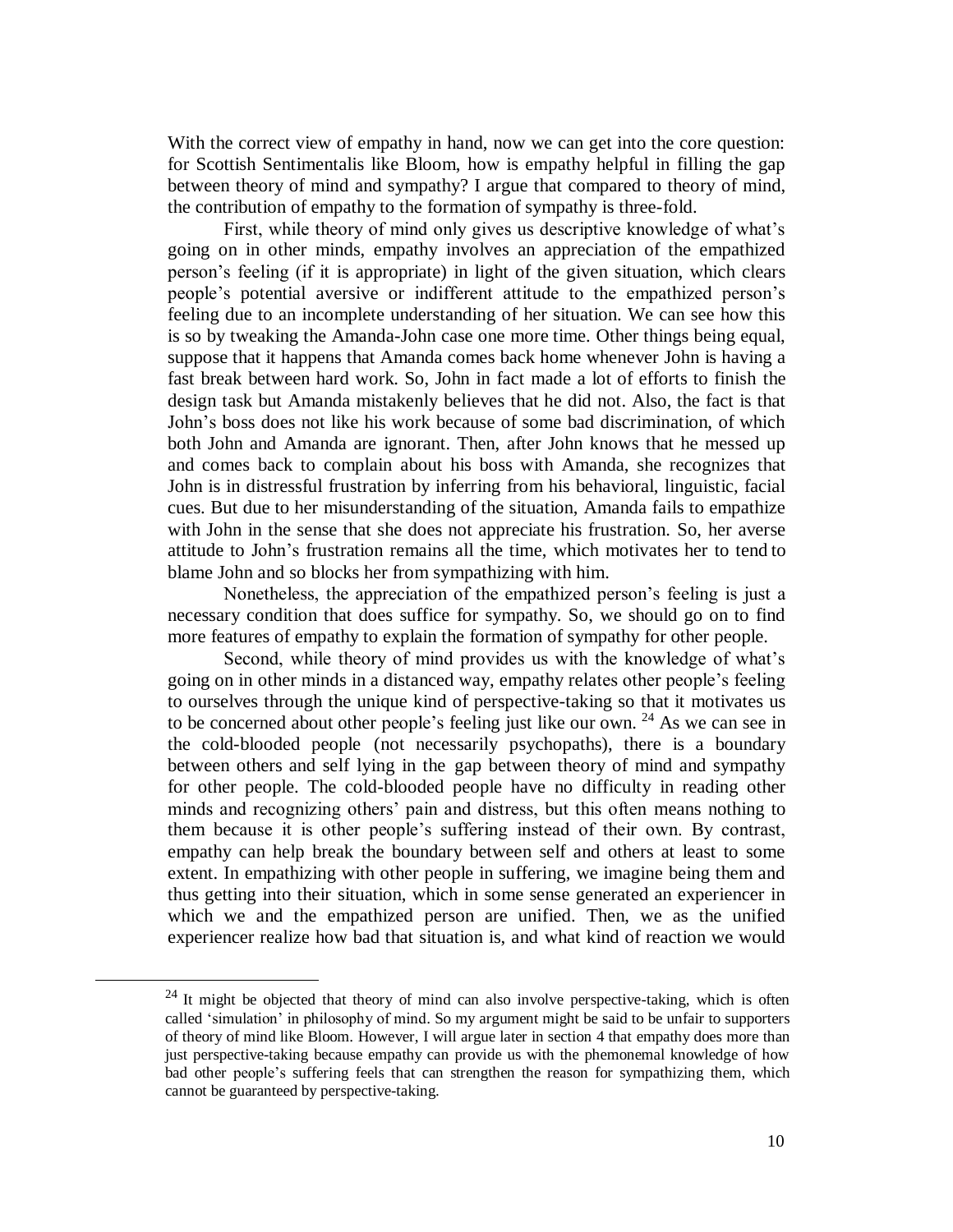With the correct view of empathy in hand, now we can get into the core question: for Scottish Sentimentalis like Bloom, how is empathy helpful in filling the gap between theory of mind and sympathy? I argue that compared to theory of mind, the contribution of empathy to the formation of sympathy is three-fold.

First, while theory of mind only gives us descriptive knowledge of what's going on in other minds, empathy involves an appreciation of the empathized person's feeling (if it is appropriate) in light of the given situation, which clears people's potential aversive or indifferent attitude to the empathized person's feeling due to an incomplete understanding of her situation. We can see how this is so by tweaking the Amanda-John case one more time. Other things being equal, suppose that it happens that Amanda comes back home whenever John is having a fast break between hard work. So, John in fact made a lot of efforts to finish the design task but Amanda mistakenly believes that he did not. Also, the fact is that John's boss does not like his work because of some bad discrimination, of which both John and Amanda are ignorant. Then, after John knows that he messed up and comes back to complain about his boss with Amanda, she recognizes that John is in distressful frustration by inferring from his behavioral, linguistic, facial cues. But due to her misunderstanding of the situation, Amanda fails to empathize with John in the sense that she does not appreciate his frustration. So, her averse attitude to John's frustration remains all the time, which motivates her to tend to blame John and so blocks her from sympathizing with him.

Nonetheless, the appreciation of the empathized person's feeling is just a necessary condition that does suffice for sympathy. So, we should go on to find more features of empathy to explain the formation of sympathy for other people.

Second, while theory of mind provides us with the knowledge of what's going on in other minds in a distanced way, empathy relates other people's feeling to ourselves through the unique kind of perspective-taking so that it motivates us to be concerned about other people's feeling just like our own.  $24$  As we can see in the cold-blooded people (not necessarily psychopaths), there is a boundary between others and self lying in the gap between theory of mind and sympathy for other people. The cold-blooded people have no difficulty in reading other minds and recognizing others' pain and distress, but this often means nothing to them because it is other people's suffering instead of their own. By contrast, empathy can help break the boundary between self and others at least to some extent. In empathizing with other people in suffering, we imagine being them and thus getting into their situation, which in some sense generated an experiencer in which we and the empathized person are unified. Then, we as the unified experiencer realize how bad that situation is, and what kind of reaction we would

 $24$  It might be objected that theory of mind can also involve perspective-taking, which is often called 'simulation' in philosophy of mind. So my argument might be said to be unfair to supporters of theory of mind like Bloom. However, I will argue later in section 4 that empathy does more than just perspective-taking because empathy can provide us with the phemonemal knowledge of how bad other people's suffering feels that can strengthen the reason for sympathizing them, which cannot be guaranteed by perspective-taking.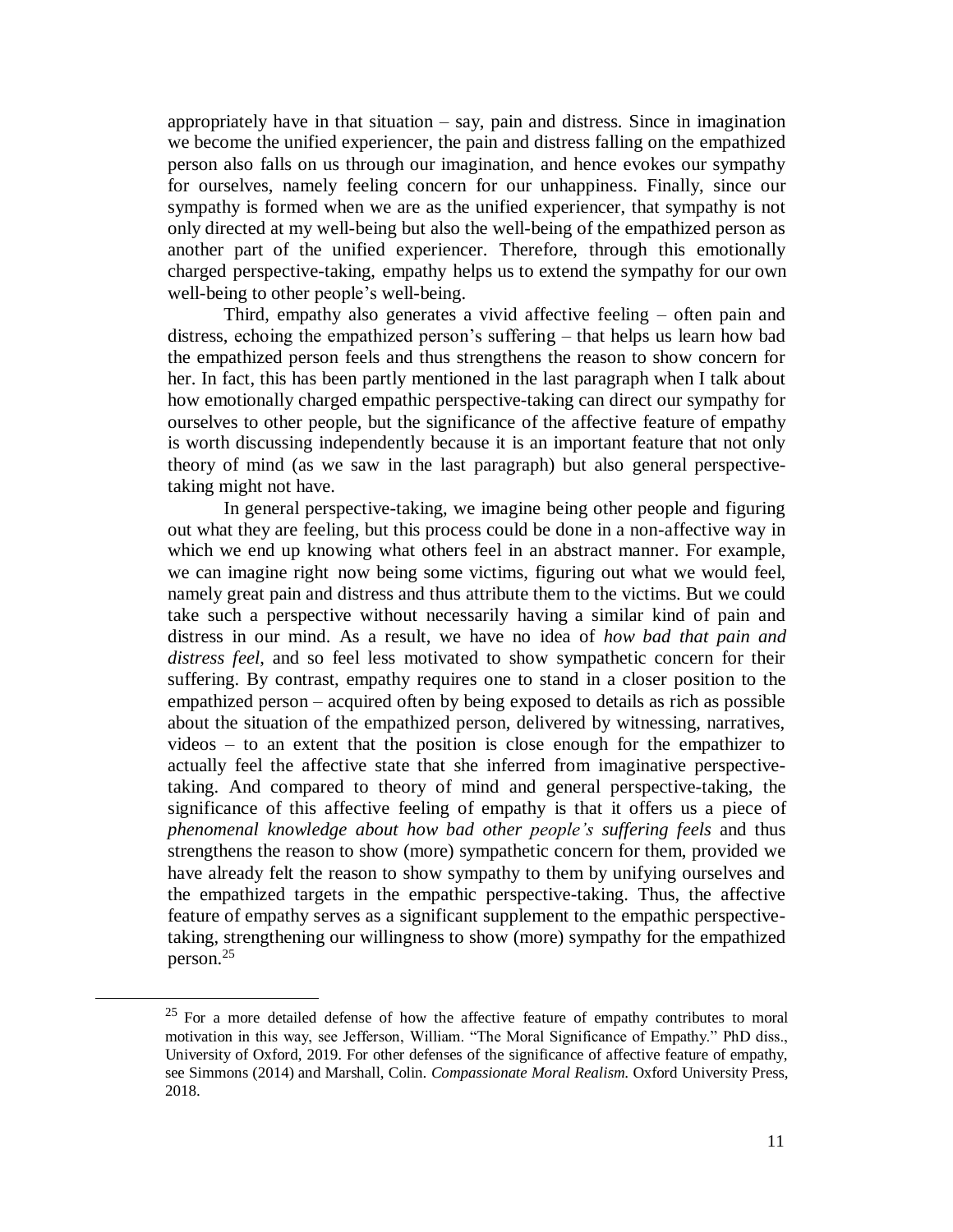appropriately have in that situation  $-$  say, pain and distress. Since in imagination we become the unified experiencer, the pain and distress falling on the empathized person also falls on us through our imagination, and hence evokes our sympathy for ourselves, namely feeling concern for our unhappiness. Finally, since our sympathy is formed when we are as the unified experiencer, that sympathy is not only directed at my well-being but also the well-being of the empathized person as another part of the unified experiencer. Therefore, through this emotionally charged perspective-taking, empathy helps us to extend the sympathy for our own well-being to other people's well-being.

Third, empathy also generates a vivid affective feeling – often pain and distress, echoing the empathized person's suffering – that helps us learn how bad the empathized person feels and thus strengthens the reason to show concern for her. In fact, this has been partly mentioned in the last paragraph when I talk about how emotionally charged empathic perspective-taking can direct our sympathy for ourselves to other people, but the significance of the affective feature of empathy is worth discussing independently because it is an important feature that not only theory of mind (as we saw in the last paragraph) but also general perspectivetaking might not have.

In general perspective-taking, we imagine being other people and figuring out what they are feeling, but this process could be done in a non-affective way in which we end up knowing what others feel in an abstract manner. For example, we can imagine right now being some victims, figuring out what we would feel, namely great pain and distress and thus attribute them to the victims. But we could take such a perspective without necessarily having a similar kind of pain and distress in our mind. As a result, we have no idea of *how bad that pain and distress feel*, and so feel less motivated to show sympathetic concern for their suffering. By contrast, empathy requires one to stand in a closer position to the empathized person – acquired often by being exposed to details as rich as possible about the situation of the empathized person, delivered by witnessing, narratives, videos – to an extent that the position is close enough for the empathizer to actually feel the affective state that she inferred from imaginative perspectivetaking. And compared to theory of mind and general perspective-taking, the significance of this affective feeling of empathy is that it offers us a piece of *phenomenal knowledge about how bad other people's suffering feels* and thus strengthens the reason to show (more) sympathetic concern for them, provided we have already felt the reason to show sympathy to them by unifying ourselves and the empathized targets in the empathic perspective-taking. Thus, the affective feature of empathy serves as a significant supplement to the empathic perspectivetaking, strengthening our willingness to show (more) sympathy for the empathized person.<sup>25</sup>

 $25$  For a more detailed defense of how the affective feature of empathy contributes to moral motivation in this way, see Jefferson, William. "The Moral Significance of Empathy." PhD diss., University of Oxford, 2019. For other defenses of the significance of affective feature of empathy, see Simmons (2014) and Marshall, Colin. *Compassionate Moral Realism*. Oxford University Press, 2018.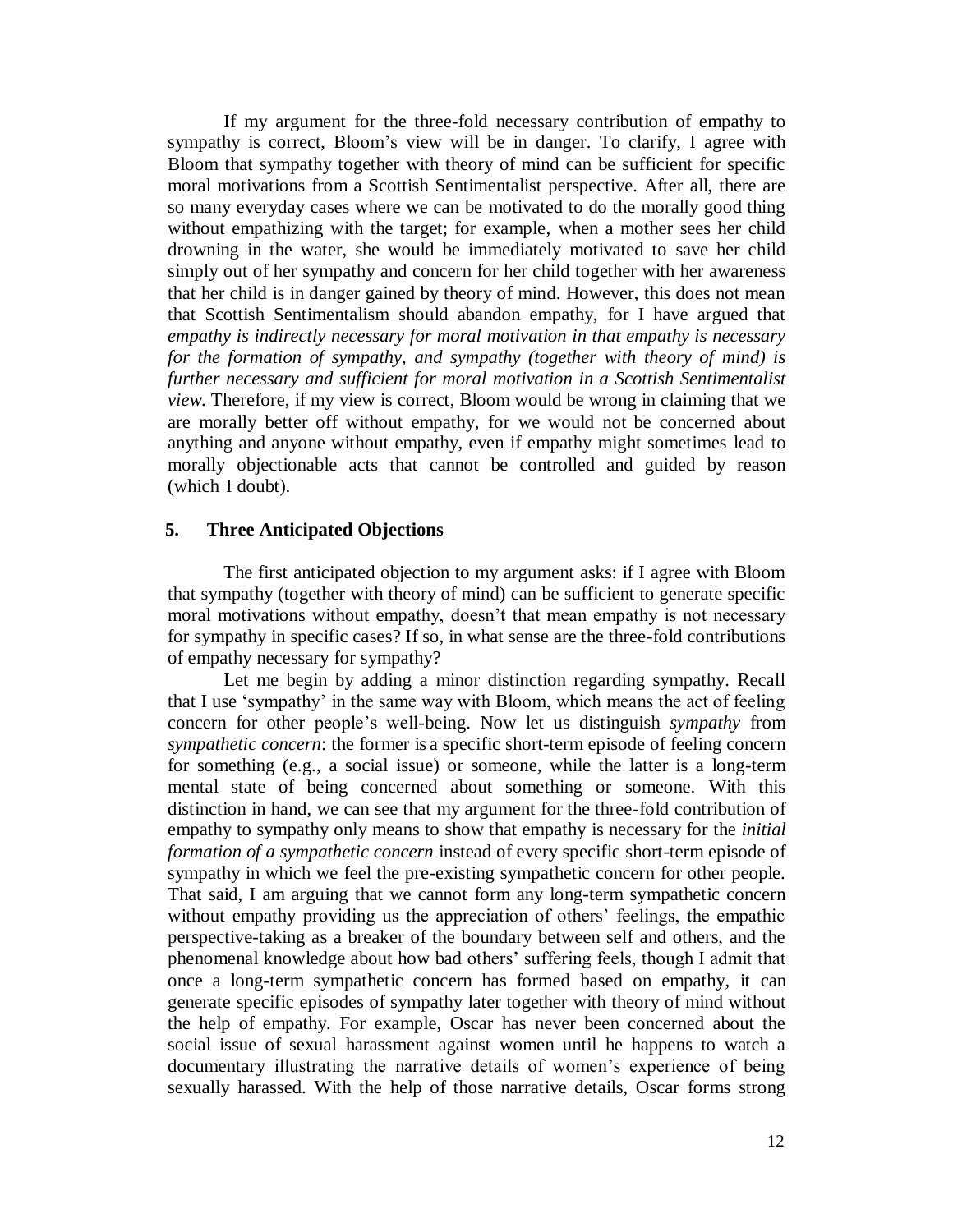If my argument for the three-fold necessary contribution of empathy to sympathy is correct, Bloom's view will be in danger. To clarify, I agree with Bloom that sympathy together with theory of mind can be sufficient for specific moral motivations from a Scottish Sentimentalist perspective. After all, there are so many everyday cases where we can be motivated to do the morally good thing without empathizing with the target; for example, when a mother sees her child drowning in the water, she would be immediately motivated to save her child simply out of her sympathy and concern for her child together with her awareness that her child is in danger gained by theory of mind. However, this does not mean that Scottish Sentimentalism should abandon empathy, for I have argued that *empathy is indirectly necessary for moral motivation in that empathy is necessary for the formation of sympathy, and sympathy (together with theory of mind) is further necessary and sufficient for moral motivation in a Scottish Sentimentalist view*. Therefore, if my view is correct, Bloom would be wrong in claiming that we are morally better off without empathy, for we would not be concerned about anything and anyone without empathy, even if empathy might sometimes lead to morally objectionable acts that cannot be controlled and guided by reason (which I doubt).

#### **5. Three Anticipated Objections**

The first anticipated objection to my argument asks: if I agree with Bloom that sympathy (together with theory of mind) can be sufficient to generate specific moral motivations without empathy, doesn't that mean empathy is not necessary for sympathy in specific cases? If so, in what sense are the three-fold contributions of empathy necessary for sympathy?

Let me begin by adding a minor distinction regarding sympathy. Recall that I use 'sympathy' in the same way with Bloom, which means the act of feeling concern for other people's well-being. Now let us distinguish *sympathy* from *sympathetic concern*: the former is a specific short-term episode of feeling concern for something (e.g., a social issue) or someone, while the latter is a long-term mental state of being concerned about something or someone. With this distinction in hand, we can see that my argument for the three-fold contribution of empathy to sympathy only means to show that empathy is necessary for the *initial formation of a sympathetic concern* instead of every specific short-term episode of sympathy in which we feel the pre-existing sympathetic concern for other people. That said, I am arguing that we cannot form any long-term sympathetic concern without empathy providing us the appreciation of others' feelings, the empathic perspective-taking as a breaker of the boundary between self and others, and the phenomenal knowledge about how bad others' suffering feels, though I admit that once a long-term sympathetic concern has formed based on empathy, it can generate specific episodes of sympathy later together with theory of mind without the help of empathy. For example, Oscar has never been concerned about the social issue of sexual harassment against women until he happens to watch a documentary illustrating the narrative details of women's experience of being sexually harassed. With the help of those narrative details, Oscar forms strong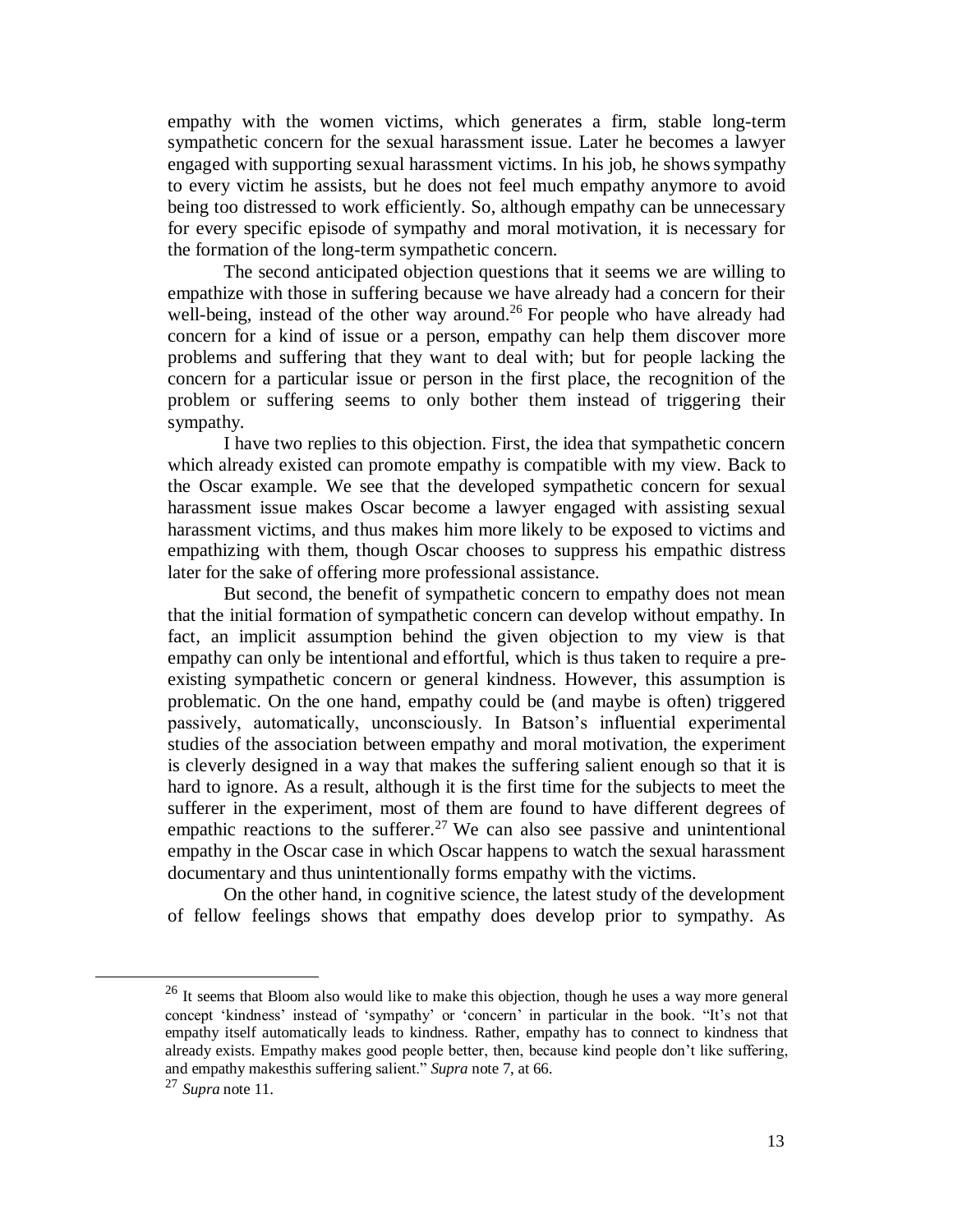empathy with the women victims, which generates a firm, stable long-term sympathetic concern for the sexual harassment issue. Later he becomes a lawyer engaged with supporting sexual harassment victims. In his job, he showssympathy to every victim he assists, but he does not feel much empathy anymore to avoid being too distressed to work efficiently. So, although empathy can be unnecessary for every specific episode of sympathy and moral motivation, it is necessary for the formation of the long-term sympathetic concern.

The second anticipated objection questions that it seems we are willing to empathize with those in suffering because we have already had a concern for their well-being, instead of the other way around.<sup>26</sup> For people who have already had concern for a kind of issue or a person, empathy can help them discover more problems and suffering that they want to deal with; but for people lacking the concern for a particular issue or person in the first place, the recognition of the problem or suffering seems to only bother them instead of triggering their sympathy.

I have two replies to this objection. First, the idea that sympathetic concern which already existed can promote empathy is compatible with my view. Back to the Oscar example. We see that the developed sympathetic concern for sexual harassment issue makes Oscar become a lawyer engaged with assisting sexual harassment victims, and thus makes him more likely to be exposed to victims and empathizing with them, though Oscar chooses to suppress his empathic distress later for the sake of offering more professional assistance.

But second, the benefit of sympathetic concern to empathy does not mean that the initial formation of sympathetic concern can develop without empathy. In fact, an implicit assumption behind the given objection to my view is that empathy can only be intentional and effortful, which is thus taken to require a preexisting sympathetic concern or general kindness. However, this assumption is problematic. On the one hand, empathy could be (and maybe is often) triggered passively, automatically, unconsciously. In Batson's influential experimental studies of the association between empathy and moral motivation, the experiment is cleverly designed in a way that makes the suffering salient enough so that it is hard to ignore. As a result, although it is the first time for the subjects to meet the sufferer in the experiment, most of them are found to have different degrees of empathic reactions to the sufferer.<sup>27</sup> We can also see passive and unintentional empathy in the Oscar case in which Oscar happens to watch the sexual harassment documentary and thus unintentionally forms empathy with the victims.

On the other hand, in cognitive science, the latest study of the development of fellow feelings shows that empathy does develop prior to sympathy. As

l

<sup>&</sup>lt;sup>26</sup> It seems that Bloom also would like to make this objection, though he uses a way more general concept 'kindness' instead of 'sympathy' or 'concern' in particular in the book. "It's not that empathy itself automatically leads to kindness. Rather, empathy has to connect to kindness that already exists. Empathy makes good people better, then, because kind people don't like suffering, and empathy makesthis suffering salient." *Supra* note 7, at 66.

<sup>27</sup> *Supra* note 11.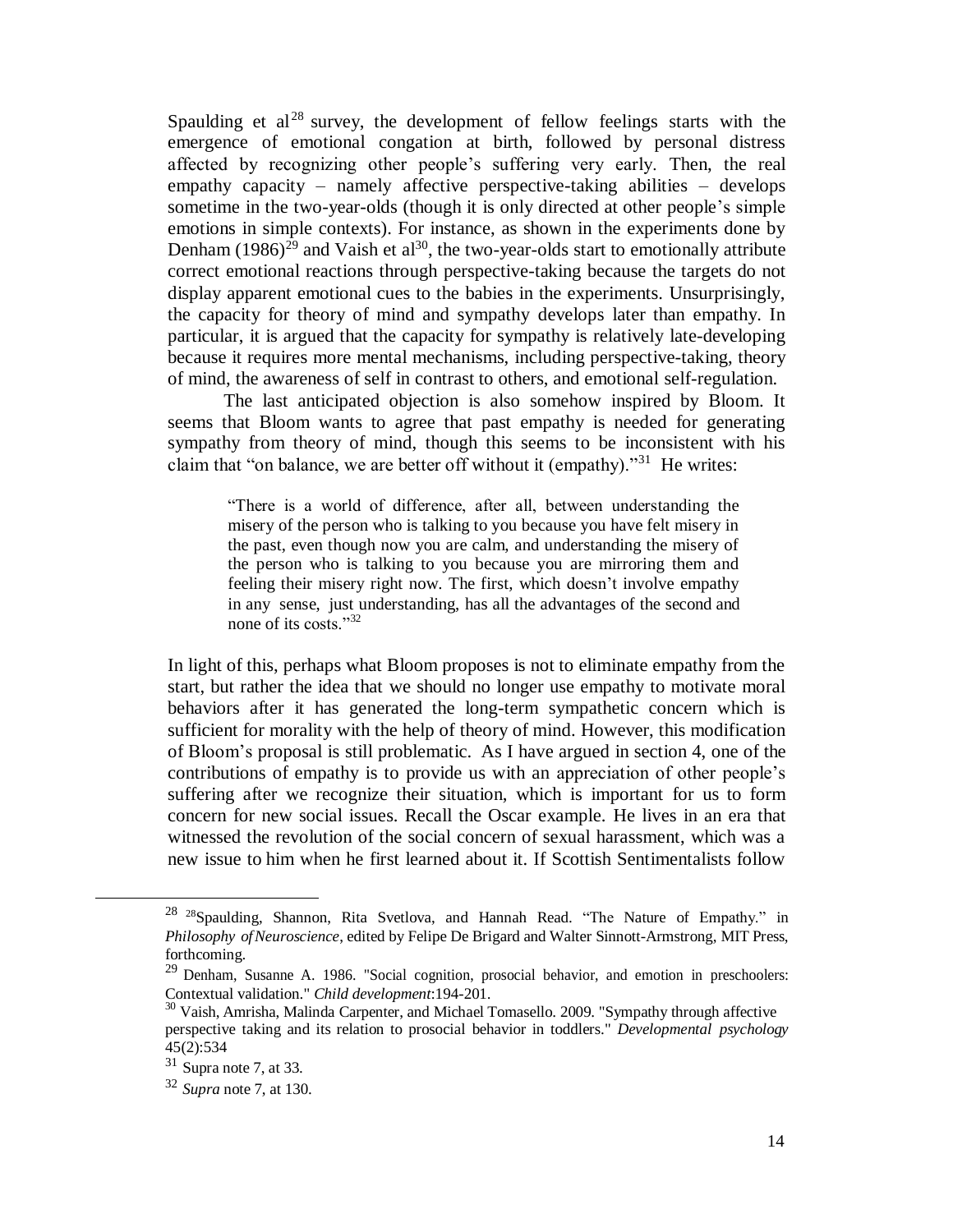Spaulding et  $al^{28}$  survey, the development of fellow feelings starts with the emergence of emotional congation at birth, followed by personal distress affected by recognizing other people's suffering very early. Then, the real empathy capacity – namely affective perspective-taking abilities – develops sometime in the two-year-olds (though it is only directed at other people's simple emotions in simple contexts). For instance, as shown in the experiments done by Denham  $(1986)^{29}$  and Vaish et al<sup>30</sup>, the two-year-olds start to emotionally attribute correct emotional reactions through perspective-taking because the targets do not display apparent emotional cues to the babies in the experiments. Unsurprisingly, the capacity for theory of mind and sympathy develops later than empathy. In particular, it is argued that the capacity for sympathy is relatively late-developing because it requires more mental mechanisms, including perspective-taking, theory of mind, the awareness of self in contrast to others, and emotional self-regulation.

The last anticipated objection is also somehow inspired by Bloom. It seems that Bloom wants to agree that past empathy is needed for generating sympathy from theory of mind, though this seems to be inconsistent with his claim that "on balance, we are better off without it (empathy)."<sup>31</sup> He writes:

"There is a world of difference, after all, between understanding the misery of the person who is talking to you because you have felt misery in the past, even though now you are calm, and understanding the misery of the person who is talking to you because you are mirroring them and feeling their misery right now. The first, which doesn't involve empathy in any sense, just understanding, has all the advantages of the second and none of its costs."<sup>32</sup>

In light of this, perhaps what Bloom proposes is not to eliminate empathy from the start, but rather the idea that we should no longer use empathy to motivate moral behaviors after it has generated the long-term sympathetic concern which is sufficient for morality with the help of theory of mind. However, this modification of Bloom's proposal is still problematic. As I have argued in section 4, one of the contributions of empathy is to provide us with an appreciation of other people's suffering after we recognize their situation, which is important for us to form concern for new social issues. Recall the Oscar example. He lives in an era that witnessed the revolution of the social concern of sexual harassment, which was a new issue to him when he first learned about it. If Scottish Sentimentalists follow

l

<sup>&</sup>lt;sup>28 28</sup>Spaulding, Shannon, Rita Svetlova, and Hannah Read. "The Nature of Empathy." in *Philosophy ofNeuroscience*, edited by Felipe De Brigard and Walter Sinnott-Armstrong, MIT Press, forthcoming.

<sup>&</sup>lt;sup>29</sup> Denham, Susanne A. 1986. "Social cognition, prosocial behavior, and emotion in preschoolers: Contextual validation." *Child development*:194-201.

<sup>&</sup>lt;sup>30</sup> Vaish, Amrisha, Malinda Carpenter, and Michael Tomasello. 2009. "Sympathy through affective perspective taking and its relation to prosocial behavior in toddlers." *Developmental psychology* 45(2):534

 $31$  Supra note 7, at 33.

<sup>32</sup> *Supra* note 7, at 130.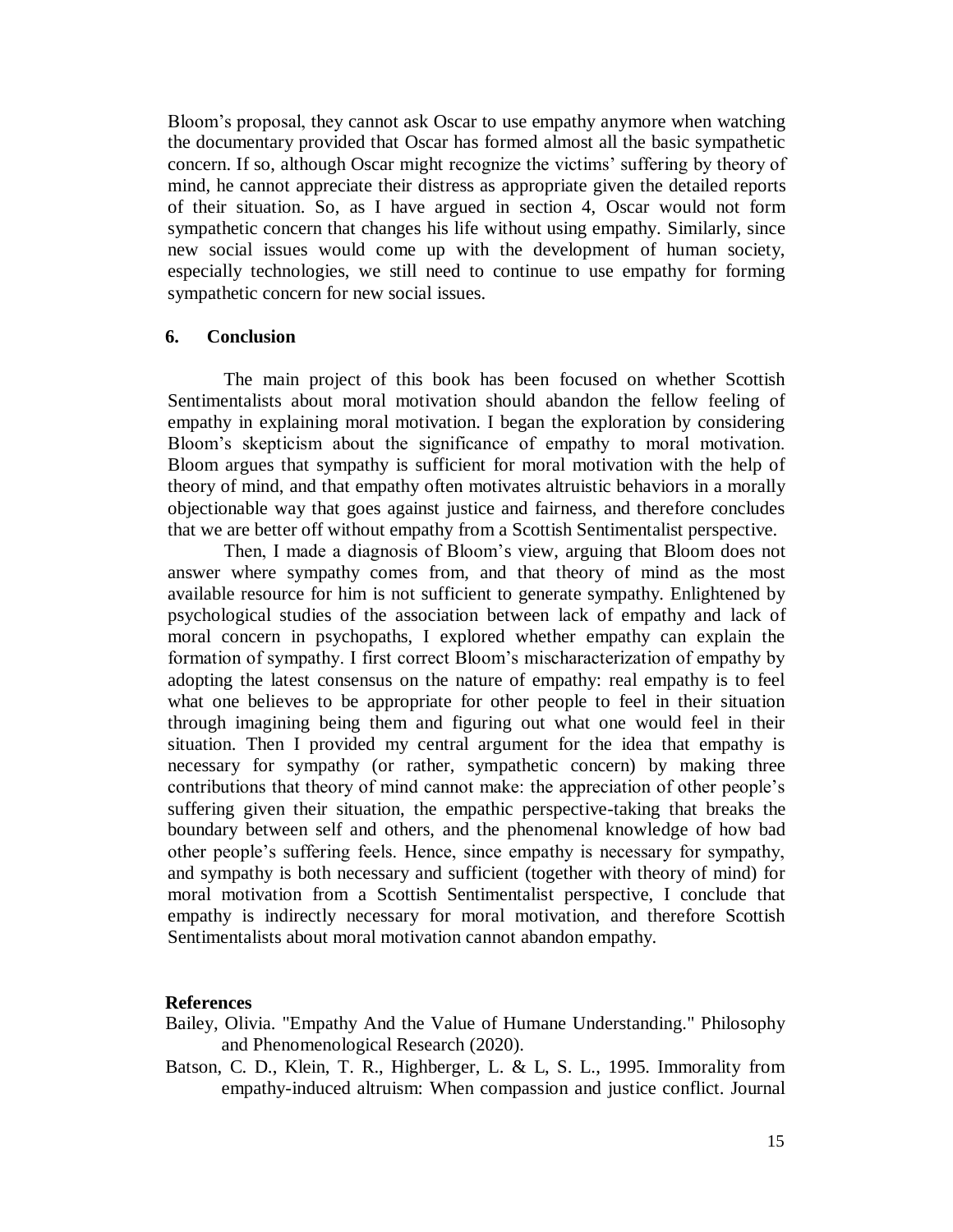Bloom's proposal, they cannot ask Oscar to use empathy anymore when watching the documentary provided that Oscar has formed almost all the basic sympathetic concern. If so, although Oscar might recognize the victims' suffering by theory of mind, he cannot appreciate their distress as appropriate given the detailed reports of their situation. So, as I have argued in section 4, Oscar would not form sympathetic concern that changes his life without using empathy. Similarly, since new social issues would come up with the development of human society, especially technologies, we still need to continue to use empathy for forming sympathetic concern for new social issues.

#### **6. Conclusion**

The main project of this book has been focused on whether Scottish Sentimentalists about moral motivation should abandon the fellow feeling of empathy in explaining moral motivation. I began the exploration by considering Bloom's skepticism about the significance of empathy to moral motivation. Bloom argues that sympathy is sufficient for moral motivation with the help of theory of mind, and that empathy often motivates altruistic behaviors in a morally objectionable way that goes against justice and fairness, and therefore concludes that we are better off without empathy from a Scottish Sentimentalist perspective.

Then, I made a diagnosis of Bloom's view, arguing that Bloom does not answer where sympathy comes from, and that theory of mind as the most available resource for him is not sufficient to generate sympathy. Enlightened by psychological studies of the association between lack of empathy and lack of moral concern in psychopaths, I explored whether empathy can explain the formation of sympathy. I first correct Bloom's mischaracterization of empathy by adopting the latest consensus on the nature of empathy: real empathy is to feel what one believes to be appropriate for other people to feel in their situation through imagining being them and figuring out what one would feel in their situation. Then I provided my central argument for the idea that empathy is necessary for sympathy (or rather, sympathetic concern) by making three contributions that theory of mind cannot make: the appreciation of other people's suffering given their situation, the empathic perspective-taking that breaks the boundary between self and others, and the phenomenal knowledge of how bad other people's suffering feels. Hence, since empathy is necessary for sympathy, and sympathy is both necessary and sufficient (together with theory of mind) for moral motivation from a Scottish Sentimentalist perspective, I conclude that empathy is indirectly necessary for moral motivation, and therefore Scottish Sentimentalists about moral motivation cannot abandon empathy.

#### **References**

- Bailey, Olivia. "Empathy And the Value of Humane Understanding." Philosophy and Phenomenological Research (2020).
- Batson, C. D., Klein, T. R., Highberger, L. & L, S. L., 1995. Immorality from empathy-induced altruism: When compassion and justice conflict. Journal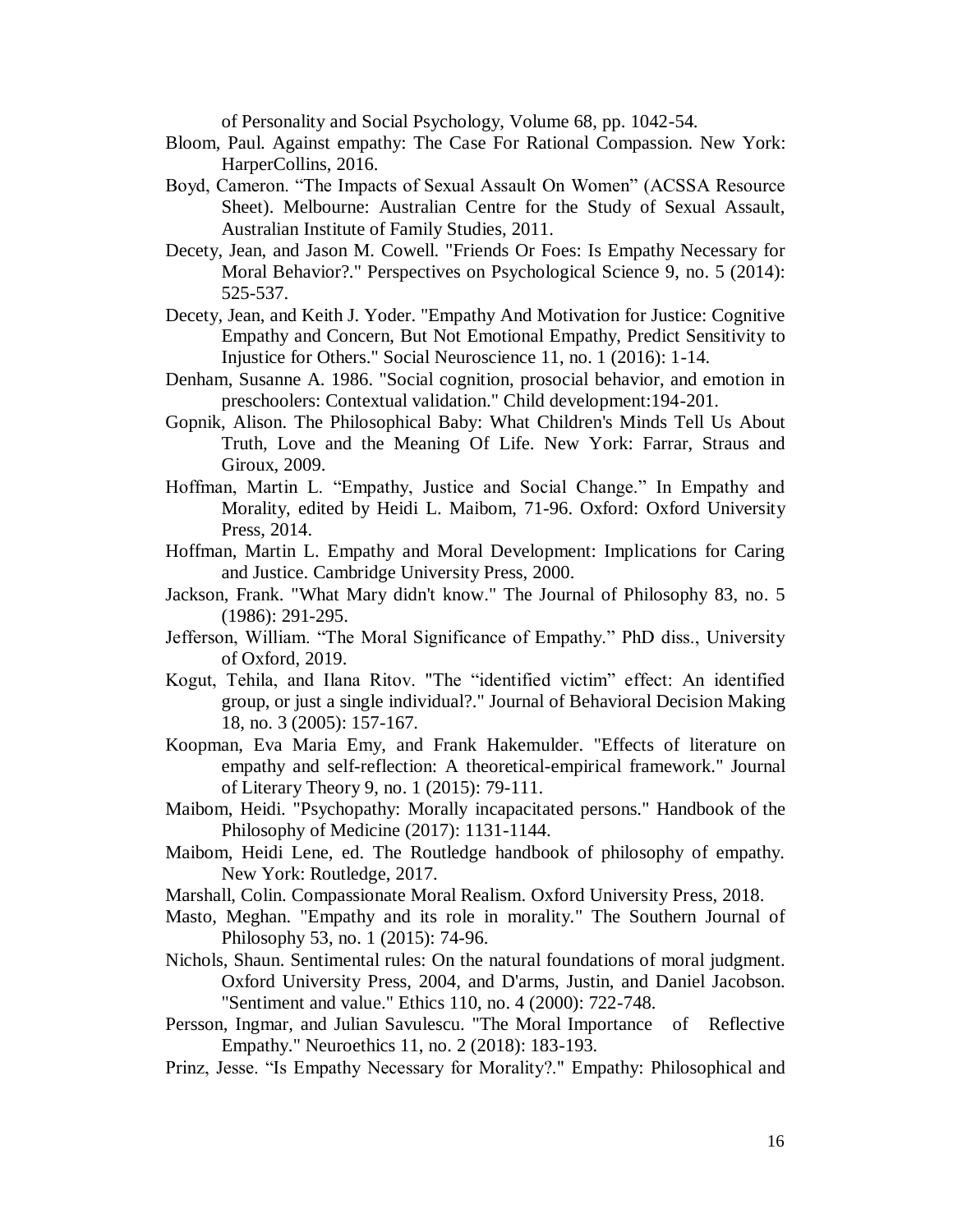of Personality and Social Psychology, Volume 68, pp. 1042-54.

- Bloom, Paul. Against empathy: The Case For Rational Compassion. New York: HarperCollins, 2016.
- Boyd, Cameron. "The Impacts of Sexual Assault On Women" (ACSSA Resource Sheet). Melbourne: Australian Centre for the Study of Sexual Assault, Australian Institute of Family Studies, 2011.
- Decety, Jean, and Jason M. Cowell. "Friends Or Foes: Is Empathy Necessary for Moral Behavior?." Perspectives on Psychological Science 9, no. 5 (2014): 525-537.
- Decety, Jean, and Keith J. Yoder. "Empathy And Motivation for Justice: Cognitive Empathy and Concern, But Not Emotional Empathy, Predict Sensitivity to Injustice for Others." Social Neuroscience 11, no. 1 (2016): 1-14.
- Denham, Susanne A. 1986. "Social cognition, prosocial behavior, and emotion in preschoolers: Contextual validation." Child development:194-201.
- Gopnik, Alison. The Philosophical Baby: What Children's Minds Tell Us About Truth, Love and the Meaning Of Life. New York: Farrar, Straus and Giroux, 2009.
- Hoffman, Martin L. "Empathy, Justice and Social Change." In Empathy and Morality, edited by Heidi L. Maibom, 71-96. Oxford: Oxford University Press, 2014.
- Hoffman, Martin L. Empathy and Moral Development: Implications for Caring and Justice. Cambridge University Press, 2000.
- Jackson, Frank. "What Mary didn't know." The Journal of Philosophy 83, no. 5 (1986): 291-295.
- Jefferson, William. "The Moral Significance of Empathy." PhD diss., University of Oxford, 2019.
- Kogut, Tehila, and Ilana Ritov. "The "identified victim" effect: An identified group, or just a single individual?." Journal of Behavioral Decision Making 18, no. 3 (2005): 157-167.
- Koopman, Eva Maria Emy, and Frank Hakemulder. "Effects of literature on empathy and self-reflection: A theoretical-empirical framework." Journal of Literary Theory 9, no. 1 (2015): 79-111.
- Maibom, Heidi. "Psychopathy: Morally incapacitated persons." Handbook of the Philosophy of Medicine (2017): 1131-1144.
- Maibom, Heidi Lene, ed. The Routledge handbook of philosophy of empathy. New York: Routledge, 2017.
- Marshall, Colin. Compassionate Moral Realism. Oxford University Press, 2018.
- Masto, Meghan. "Empathy and its role in morality." The Southern Journal of Philosophy 53, no. 1 (2015): 74-96.
- Nichols, Shaun. Sentimental rules: On the natural foundations of moral judgment. Oxford University Press, 2004, and D'arms, Justin, and Daniel Jacobson. "Sentiment and value." Ethics 110, no. 4 (2000): 722-748.
- Persson, Ingmar, and Julian Savulescu. "The Moral Importance of Reflective Empathy." Neuroethics 11, no. 2 (2018): 183-193.
- Prinz, Jesse. "Is Empathy Necessary for Morality?." Empathy: Philosophical and